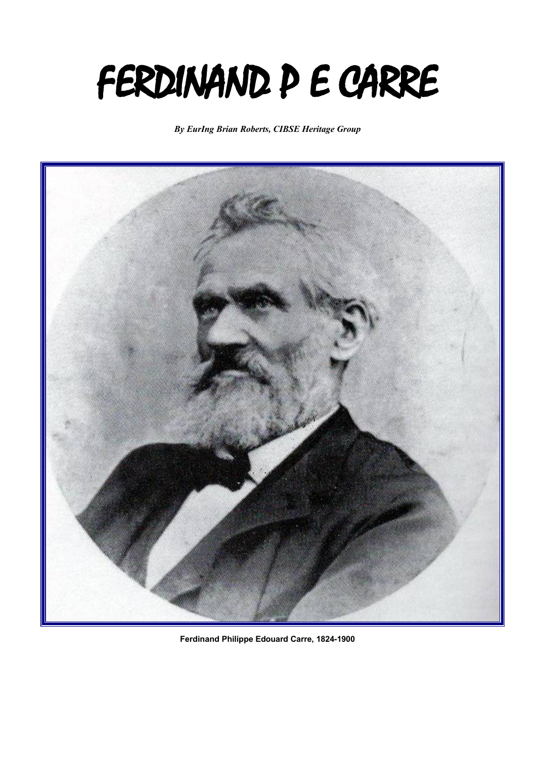## FERDINAND P E CARRE

*By EurIng Brian Roberts, CIBSE Heritage Group*



**Ferdinand Philippe Edouard Carre, 1824-1900**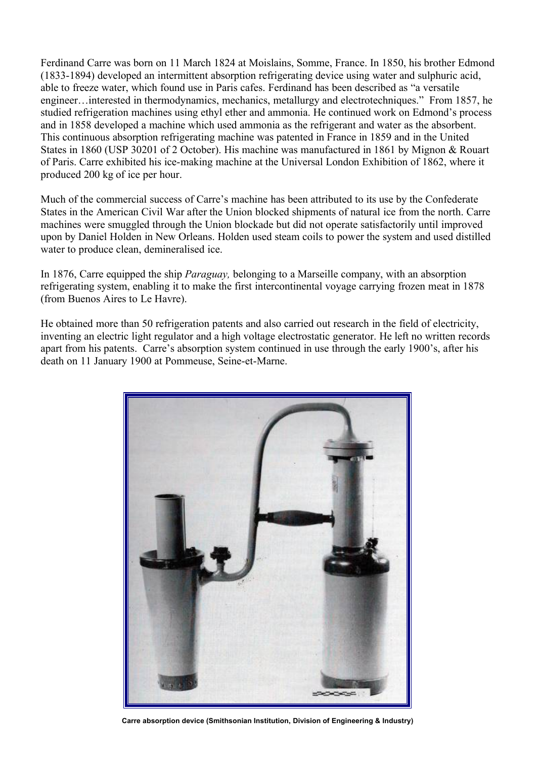Ferdinand Carre was born on 11 March 1824 at Moislains, Somme, France. In 1850, his brother Edmond (1833-1894) developed an intermittent absorption refrigerating device using water and sulphuric acid, able to freeze water, which found use in Paris cafes. Ferdinand has been described as "a versatile engineer…interested in thermodynamics, mechanics, metallurgy and electrotechniques." From 1857, he studied refrigeration machines using ethyl ether and ammonia. He continued work on Edmond's process and in 1858 developed a machine which used ammonia as the refrigerant and water as the absorbent. This continuous absorption refrigerating machine was patented in France in 1859 and in the United States in 1860 (USP 30201 of 2 October). His machine was manufactured in 1861 by Mignon & Rouart of Paris. Carre exhibited his ice-making machine at the Universal London Exhibition of 1862, where it produced 200 kg of ice per hour.

Much of the commercial success of Carre's machine has been attributed to its use by the Confederate States in the American Civil War after the Union blocked shipments of natural ice from the north. Carre machines were smuggled through the Union blockade but did not operate satisfactorily until improved upon by Daniel Holden in New Orleans. Holden used steam coils to power the system and used distilled water to produce clean, demineralised ice.

In 1876, Carre equipped the ship *Paraguay,* belonging to a Marseille company, with an absorption refrigerating system, enabling it to make the first intercontinental voyage carrying frozen meat in 1878 (from Buenos Aires to Le Havre).

He obtained more than 50 refrigeration patents and also carried out research in the field of electricity, inventing an electric light regulator and a high voltage electrostatic generator. He left no written records apart from his patents. Carre's absorption system continued in use through the early 1900's, after his death on 11 January 1900 at Pommeuse, Seine-et-Marne.



**Carre absorption device (Smithsonian Institution, Division of Engineering & Industry)**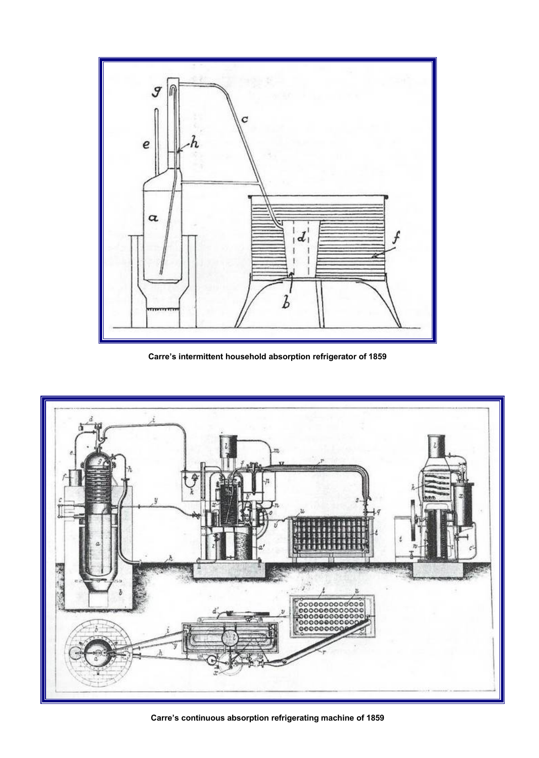

**Carre's intermittent household absorption refrigerator of 1859**



**Carre's continuous absorption refrigerating machine of 1859**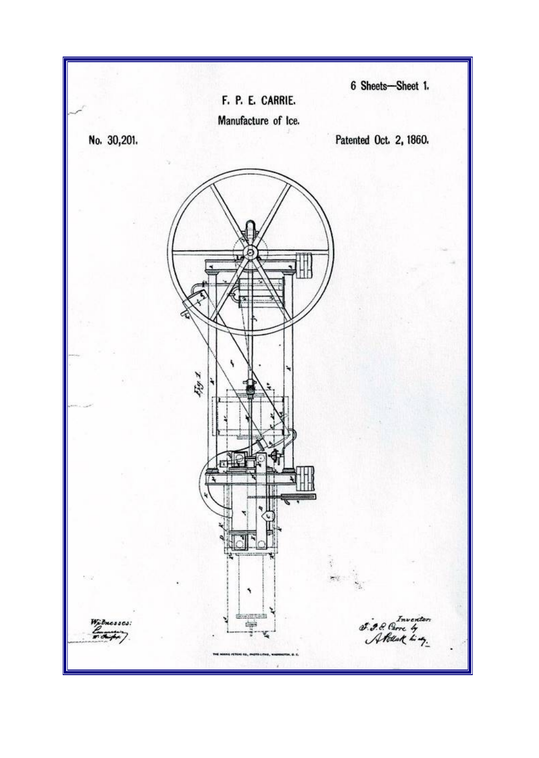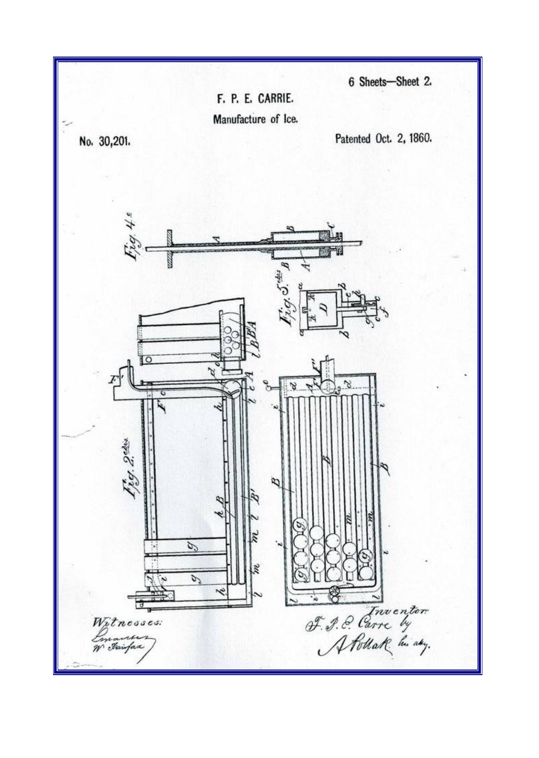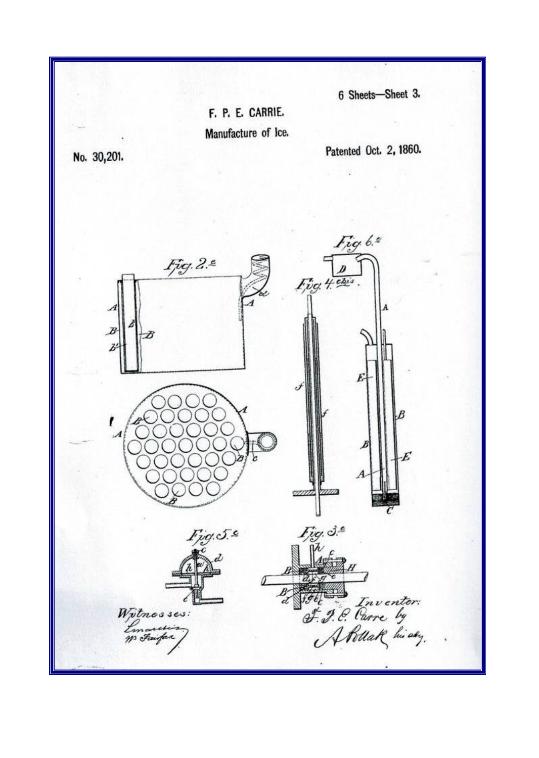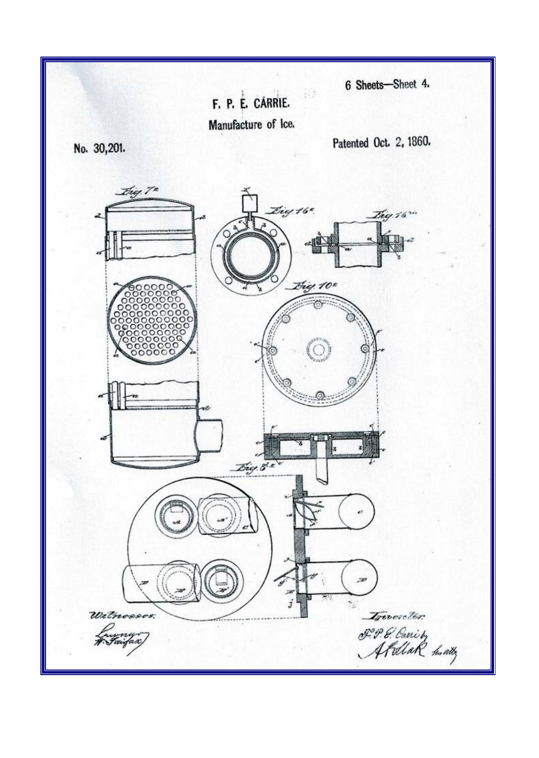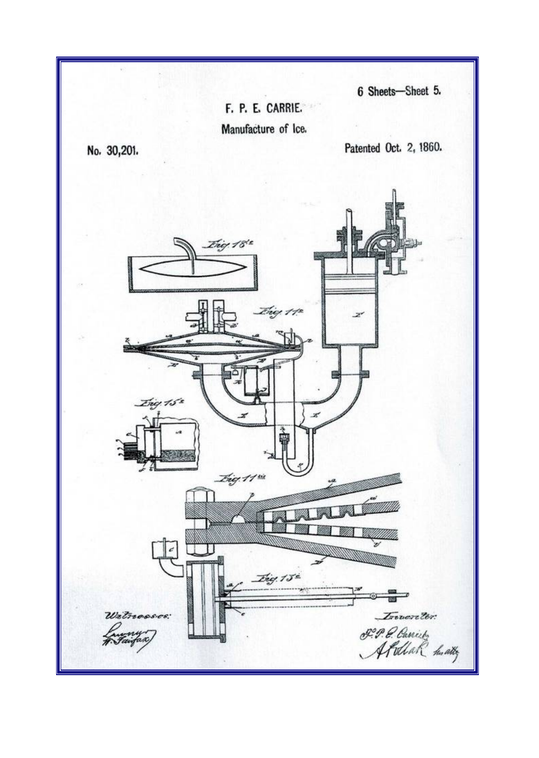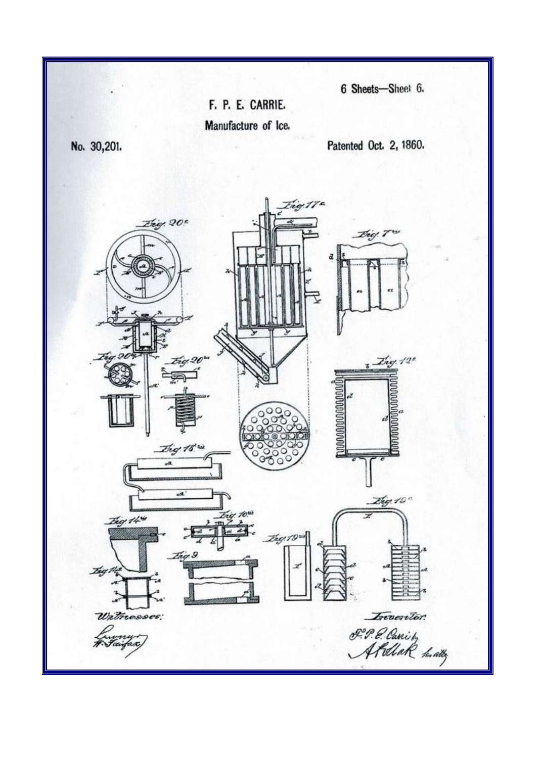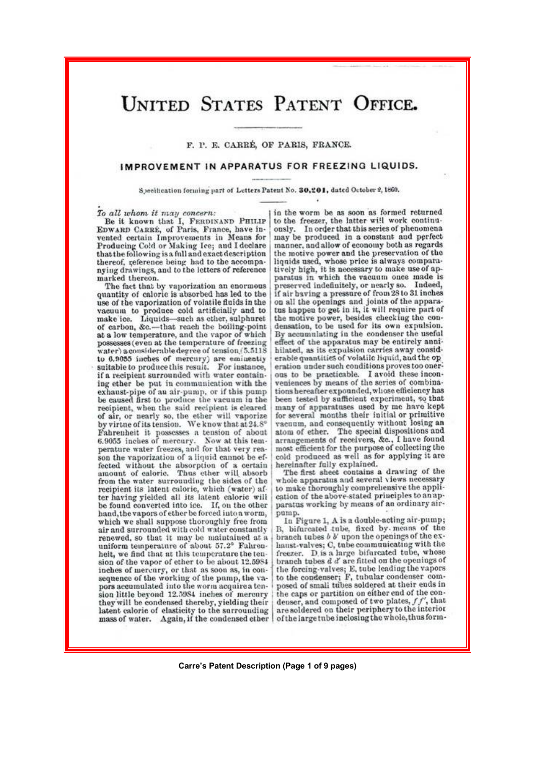## **UNITED STATES PATENT OFFICE.**

F. P. E. CARRÉ. OF PARIS, FRANCE.

## IMPROVEMENT IN APPARATUS FOR FREEZING LIQUIDS.

Specification forming part of Letters Patent No. 30,201, dated October 2, 1860.

To all whom it may concern:<br>Be it known that I, FERDINAND PHILIP EDWARD CARRÉ, of Paris, France, have invented certain Improvements in Means for Producing Cold or Making Ice; and I declare that the following is a full and exact description thereof, reference being had to the accompanying drawings, and to the letters of reference marked thereon.

The fact that by vaporization an enormous quantity of caloric is absorbed has led to the use of the vaporization of volatile fluids in the vacuum to produce cold artificially and to make ice. Liquids—such as ether, sulphuret of carbon, &c.—that reach the boiling-point at a low temperature, and the vapor of which possesses (even at the temperature of freezing water) a considerable degree of tension (5.5118 to 6.9055 inches of mercury) are eminently<br>suitable to produce this result. For instance, if a recipient surrounded with water containing ether be put in communication with the exhaust-pipe of an air-pump, or if this pump be caused first to produce the vacuum in the recipient, when the said recipient is cleared of air, or nearly so, the ether will vaporize by virtue of its tension. We know that at 24.8° Fahrenheit it possesses a tension of about 6.9055 inches of mercury. Now at this temperature water freezes, and for that very reason the vaporization of a liquid cannot be effected without the absorption of a certain<br>amount of caloric. Thus ether will absorb from the water surrounding the sides of the recipient its latent caloric, which (water) after having yielded all its latent caloric will be found converted into ice. If, on the other hand, the vapors of ether be forced into a worm, which we shall suppose thoroughly free from air and surrounded with cold water constantly renewed, so that it may be maintained at a uniform temperature of about 57.2° Fahrenhelt, we find that at this temperature the tension of the vapor of ether to be about 12.5984 inches of mercury, or that as soon as, in consequence of the working of the pump, the vapors accumulated into the worm acquire a ten-<br>sion little beyond 12.5984 inches of mercury they will be condensed thereby, yielding their latent caloric of elasticity to the surrounding mass of water. Again, if the condensed ether

in the worm be as soon as formed returned to the freezer, the latter will work continuously. In order that this series of phenomena may be produced in a constant and perfect manner, and allow of economy both as regards the motive power and the preservation of the liquids used, whose price is always comparatively high, it is necessary to make use of apparatus in which the vacuum once made is preserved indefinitely, or nearly so. Indeed, if air having a pressure of from 28 to 31 inches on all the openings and joints of the apparatus happen to get in it, it will require part of the motive power, besides checking the condensation, to be used for its own expulsion. By accumulating in the condenser the useful effect of the apparatus may be entirely annihilated, as its expulsion carries away considerable quantities of volatile liquid, and the op eration under such conditions proves too onerous to be practicable. I avoid these inconveniences by means of the series of combinations hereafter expounded, whose efficiency has been tested by sufficient experiment, so that<br>many of apparatuses used by me have kept for several months their initial or primitive<br>vacuum, and consequently without losing an atom of ether. The special dispositions and arrangements of receivers, &c., I have found<br>most efficient for the purpose of collecting the cold produced as well as for applying it are hereinafter fully explained.

The first sheet contains a drawing of the whole apparatus and several views necessary to make thoroughly comprehensive the application of the above-stated principles to an apparatus working by means of an ordinary airpump.

In Figure 1, A is a double-acting air-pump;<br>B, bifurcated tube, fixed by means of the branch tubes b b' upon the openings of the exhaust-valves; C, tube communicating with the freezer. D is a large bifurcated tube, whose branch tubes  $d$   $d'$  are fitted on the openings of the forcing-valves; E, tube leading the vapors to the condenser; F, tubular condenser composed of small tubes soldered at their ends in the caps or partition on either end of the condenser, and composed of two plates,  $ff'$ , that are soldered on their periphery to the interior of the large tube inclosing the whole, thus form-